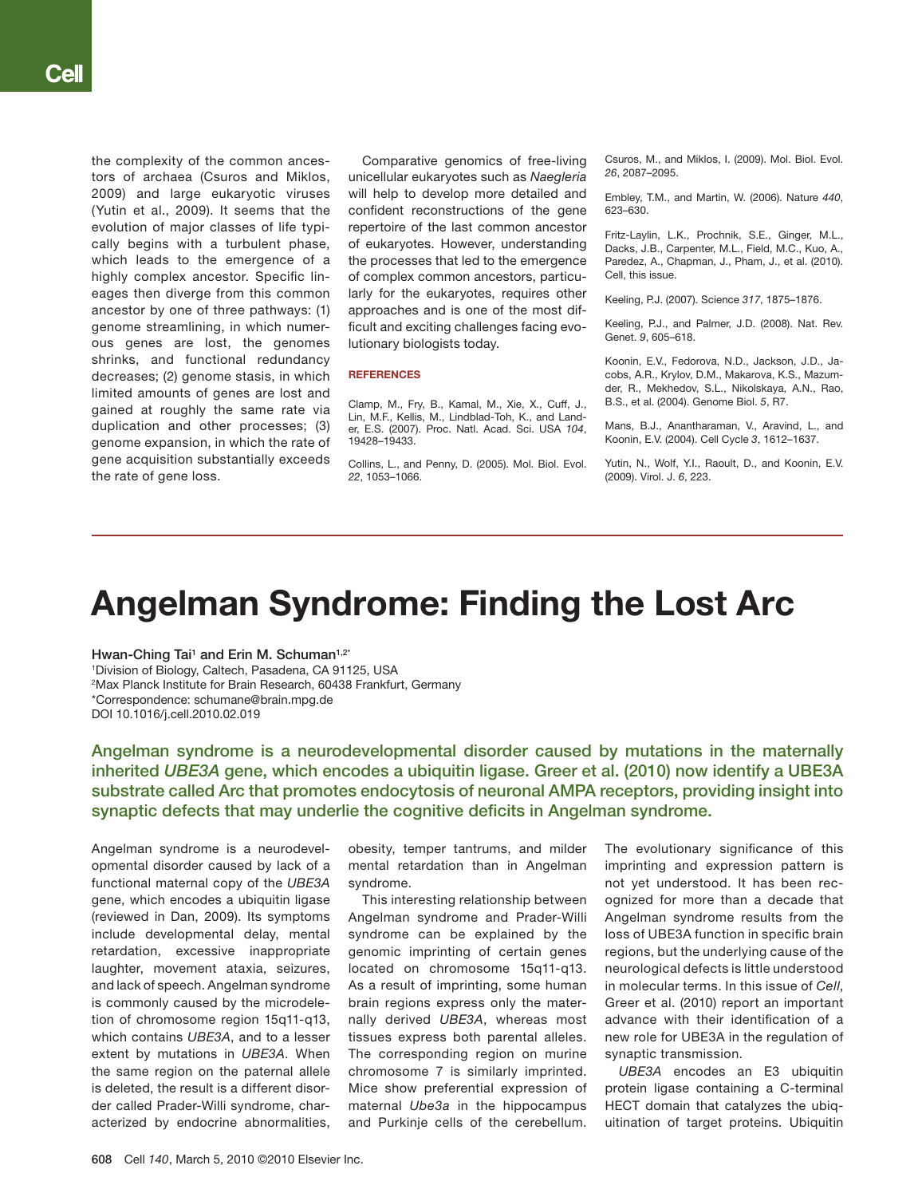the complexity of the common ancestors of archaea (Csuros and Miklos, 2009) and large eukaryotic viruses (Yutin et al., 2009). It seems that the evolution of major classes of life typically begins with a turbulent phase, which leads to the emergence of a highly complex ancestor. Specific lineages then diverge from this common ancestor by one of three pathways: (1) genome streamlining, in which numerous genes are lost, the genomes shrinks, and functional redundancy decreases; (2) genome stasis, in which limited amounts of genes are lost and gained at roughly the same rate via duplication and other processes; (3) genome expansion, in which the rate of gene acquisition substantially exceeds the rate of gene loss.

Comparative genomics of free-living unicellular eukaryotes such as *Naegleria* will help to develop more detailed and confident reconstructions of the gene repertoire of the last common ancestor of eukaryotes. However, understanding the processes that led to the emergence of complex common ancestors, particularly for the eukaryotes, requires other approaches and is one of the most difficult and exciting challenges facing evolutionary biologists today.

#### **REFERENCES**

Clamp, M., Fry, B., Kamal, M., Xie, X., Cuff, J., Lin, M.F., Kellis, M., Lindblad-Toh, K., and Lander, E.S. (2007). Proc. Natl. Acad. Sci. USA *104*, 19428–19433.

Collins, L., and Penny, D. (2005). Mol. Biol. Evol. *22*, 1053–1066.

Csuros, M., and Miklos, I. (2009). Mol. Biol. Evol. *26*, 2087–2095.

Embley, T.M., and Martin, W. (2006). Nature *440*, 623–630.

Fritz-Laylin, L.K., Prochnik, S.E., Ginger, M.L., Dacks, J.B., Carpenter, M.L., Field, M.C., Kuo, A., Paredez, A., Chapman, J., Pham, J., et al. (2010). Cell, this issue.

Keeling, P.J. (2007). Science *317*, 1875–1876.

Keeling, P.J., and Palmer, J.D. (2008). Nat. Rev. Genet. *9*, 605–618.

Koonin, E.V., Fedorova, N.D., Jackson, J.D., Jacobs, A.R., Krylov, D.M., Makarova, K.S., Mazumder, R., Mekhedov, S.L., Nikolskaya, A.N., Rao, B.S., et al. (2004). Genome Biol. *5*, R7.

Mans, B.J., Anantharaman, V., Aravind, L., and Koonin, E.V. (2004). Cell Cycle *3*, 1612–1637.

Yutin, N., Wolf, Y.I., Raoult, D., and Koonin, E.V. (2009). Virol. J. *6*, 223.

## Angelman Syndrome: Finding the Lost Arc

Hwan-Ching Tai<sup>1</sup> and Erin M. Schuman<sup>1,2\*</sup> 1 Division of Biology, Caltech, Pasadena, CA 91125, USA 2 Max Planck Institute for Brain Research, 60438 Frankfurt, Germany \*Correspondence: schumane@brain.mpg.de DOI 10.1016/j.cell.2010.02.019

Angelman syndrome is a neurodevelopmental disorder caused by mutations in the maternally inherited *UBE3A* gene, which encodes a ubiquitin ligase. Greer et al. (2010) now identify a UBE3A substrate called Arc that promotes endocytosis of neuronal AMPA receptors, providing insight into synaptic defects that may underlie the cognitive deficits in Angelman syndrome.

Angelman syndrome is a neurodevelopmental disorder caused by lack of a functional maternal copy of the *UBE3A* gene, which encodes a ubiquitin ligase (reviewed in Dan, 2009). Its symptoms include developmental delay, mental retardation, excessive inappropriate laughter, movement ataxia, seizures, and lack of speech. Angelman syndrome is commonly caused by the microdeletion of chromosome region 15q11-q13, which contains *UBE3A*, and to a lesser extent by mutations in *UBE3A*. When the same region on the paternal allele is deleted, the result is a different disorder called Prader-Willi syndrome, characterized by endocrine abnormalities, obesity, temper tantrums, and milder mental retardation than in Angelman syndrome.

This interesting relationship between Angelman syndrome and Prader-Willi syndrome can be explained by the genomic imprinting of certain genes located on chromosome 15q11-q13. As a result of imprinting, some human brain regions express only the maternally derived *UBE3A*, whereas most tissues express both parental alleles. The corresponding region on murine chromosome 7 is similarly imprinted. Mice show preferential expression of maternal *Ube3a* in the hippocampus and Purkinje cells of the cerebellum.

The evolutionary significance of this imprinting and expression pattern is not yet understood. It has been recognized for more than a decade that Angelman syndrome results from the loss of UBE3A function in specific brain regions, but the underlying cause of the neurological defects is little understood in molecular terms. In this issue of *Cell*, Greer et al. (2010) report an important advance with their identification of a new role for UBE3A in the regulation of synaptic transmission.

*UBE3A* encodes an E3 ubiquitin protein ligase containing a C-terminal HECT domain that catalyzes the ubiquitination of target proteins. Ubiquitin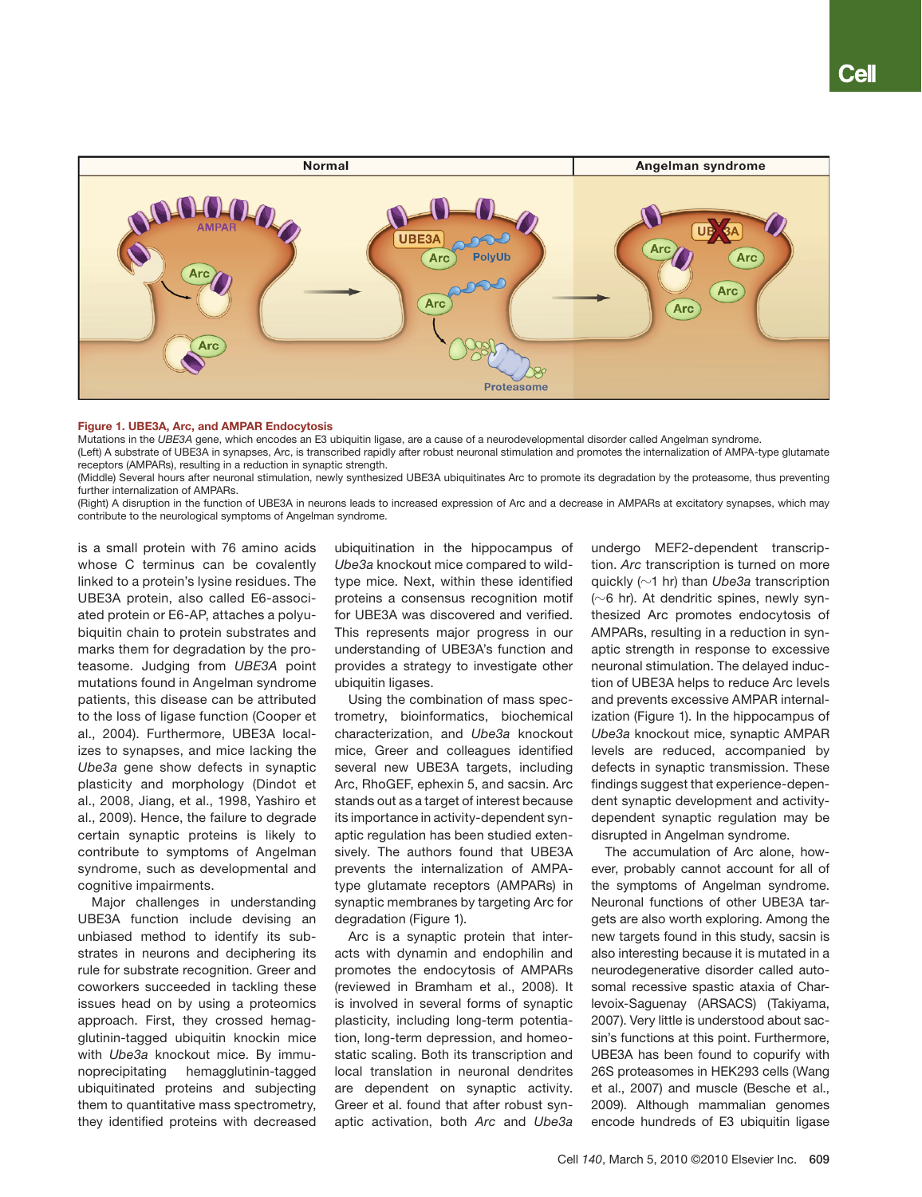

#### Figure 1. UBE3A, Arc, and AMPAR Endocytosis

Mutations in the *UBE3A* gene, which encodes an E3 ubiquitin ligase, are a cause of a neurodevelopmental disorder called Angelman syndrome.

(Left) A substrate of UBE3A in synapses, Arc, is transcribed rapidly after robust neuronal stimulation and promotes the internalization of AMPA-type glutamate receptors (AMPARs), resulting in a reduction in synaptic strength.

(Middle) Several hours after neuronal stimulation, newly synthesized UBE3A ubiquitinates Arc to promote its degradation by the proteasome, thus preventing further internalization of AMPARs.

(Right) A disruption in the function of UBE3A in neurons leads to increased expression of Arc and a decrease in AMPARs at excitatory synapses, which may contribute to the neurological symptoms of Angelman syndrome.

is a small protein with 76 amino acids whose C terminus can be covalently linked to a protein's lysine residues. The UBE3A protein, also called E6-associated protein or E6-AP, attaches a polyubiquitin chain to protein substrates and marks them for degradation by the proteasome. Judging from *UBE3A* point mutations found in Angelman syndrome patients, this disease can be attributed to the loss of ligase function (Cooper et al., 2004). Furthermore, UBE3A localizes to synapses, and mice lacking the *Ube3a* gene show defects in synaptic plasticity and morphology (Dindot et al., 2008, Jiang, et al., 1998, Yashiro et al., 2009). Hence, the failure to degrade certain synaptic proteins is likely to contribute to symptoms of Angelman syndrome, such as developmental and cognitive impairments.

Major challenges in understanding UBE3A function include devising an unbiased method to identify its substrates in neurons and deciphering its rule for substrate recognition. Greer and coworkers succeeded in tackling these issues head on by using a proteomics approach. First, they crossed hemagglutinin-tagged ubiquitin knockin mice with *Ube3a* knockout mice. By immunoprecipitating hemagglutinin-tagged ubiquitinated proteins and subjecting them to quantitative mass spectrometry, they identified proteins with decreased

ubiquitination in the hippocampus of *Ube3a* knockout mice compared to wildtype mice. Next, within these identified proteins a consensus recognition motif for UBE3A was discovered and verified. This represents major progress in our understanding of UBE3A's function and provides a strategy to investigate other ubiquitin ligases.

Using the combination of mass spectrometry, bioinformatics, biochemical characterization, and *Ube3a* knockout mice, Greer and colleagues identified several new UBE3A targets, including Arc, RhoGEF, ephexin 5, and sacsin. Arc stands out as a target of interest because its importance in activity-dependent synaptic regulation has been studied extensively. The authors found that UBE3A prevents the internalization of AMPAtype glutamate receptors (AMPARs) in synaptic membranes by targeting Arc for degradation (Figure 1).

Arc is a synaptic protein that interacts with dynamin and endophilin and promotes the endocytosis of AMPARs (reviewed in Bramham et al., 2008). It is involved in several forms of synaptic plasticity, including long-term potentiation, long-term depression, and homeostatic scaling. Both its transcription and local translation in neuronal dendrites are dependent on synaptic activity. Greer et al. found that after robust synaptic activation, both *Arc* and *Ube3a*

undergo MEF2-dependent transcription. *Arc* transcription is turned on more quickly (?1 hr) than *Ube3a* transcription  $(\sim 6$  hr). At dendritic spines, newly synthesized Arc promotes endocytosis of AMPARs, resulting in a reduction in synaptic strength in response to excessive neuronal stimulation. The delayed induction of UBE3A helps to reduce Arc levels and prevents excessive AMPAR internalization (Figure 1). In the hippocampus of *Ube3a* knockout mice, synaptic AMPAR levels are reduced, accompanied by defects in synaptic transmission. These findings suggest that experience-dependent synaptic development and activitydependent synaptic regulation may be disrupted in Angelman syndrome.

The accumulation of Arc alone, however, probably cannot account for all of the symptoms of Angelman syndrome. Neuronal functions of other UBE3A targets are also worth exploring. Among the new targets found in this study, sacsin is also interesting because it is mutated in a neurodegenerative disorder called autosomal recessive spastic ataxia of Charlevoix-Saguenay (ARSACS) (Takiyama, 2007). Very little is understood about sacsin's functions at this point. Furthermore, UBE3A has been found to copurify with 26S proteasomes in HEK293 cells (Wang et al., 2007) and muscle (Besche et al., 2009). Although mammalian genomes encode hundreds of E3 ubiquitin ligase